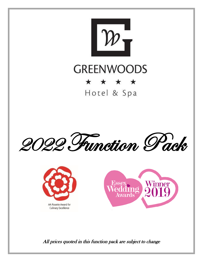

# **GREENWOODS**

## \* \* \* \* Hotel & Spa

2022 Function Pack





All prices quoted in this function pack are subject to change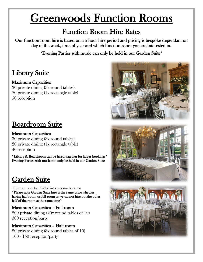# Greenwoods Function Rooms

## Function Room Hire Rates

Our function room hire is based on a 5 hour hire period and pricing is bespoke dependant on day of the week, time of year and which function room you are interested in.

\*Evening Parties with music can only be held in our Garden Suite\*

## Library Suite

### Maximum Capacities

30 private dining (3x round tables) 20 private dining (1x rectangle table) 50 reception

## Boardroom Suite

### Maximum Capacities

30 private dining (3x round tables) 20 private dining (1x rectangle table) 40 reception

\*Library & Boardroom can be hired together for larger bookings\* Evening Parties with music can only be held in our Garden Suite

## Garden Suite

This room can be divided into two smaller areas \*Please note Garden Suite hire is the same price whether having half room or full room as we cannot hire out the other half of the room at the same time\*

Maximum Capacities – Full room 200 private dining (20x round tables of 10) 300 reception/party

Maximum Capacities – Half room 80 private dining (8x round tables of 10) 100 - 150 reception/party

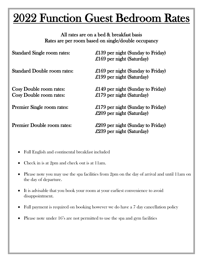# 2022 Function Guest Bedroom Rates

All rates are on a bed & breakfast basis Rates are per room based on single/double occupancy

| <b>Standard Single room rates:</b>                        | £139 per night (Sunday to Friday)<br>£169 per night (Saturday)          |
|-----------------------------------------------------------|-------------------------------------------------------------------------|
| <b>Standard Double room rates:</b>                        | £169 per night (Sunday to Friday)<br>£199 per night (Saturday)          |
| <b>Cosy Double room rates:</b><br>Cosy Double room rates: | £149 per night (Sunday to Friday)<br>£179 per night (Saturday)          |
| <b>Premier Single room rates:</b>                         | £179 per night (Sunday to Friday)<br>$\pounds 209$ per night (Saturday) |
| <b>Premier Double room rates:</b>                         | £209 per night (Sunday to Friday)<br>$\pounds239$ per night (Saturday)  |

- Full English and continental breakfast included
- Check in is at 2pm and check out is at 11am.
- Please note you may use the spa facilities from 2pm on the day of arrival and until 11am on the day of departure.
- It is advisable that you book your room at your earliest convenience to avoid disappointment.
- Full payment is required on booking however we do have a 7 day cancellation policy
- Please note under 16's are not permitted to use the spa and gym facilities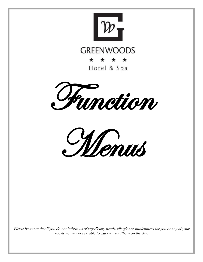

## **GREENWOODS**

\* \* \* \* Hotel & Spa

Function



Please be aware that if you do not inform us of any dietary needs, allergies or intolerances for you or any of your guests we may not be able to cater for you/them on the day.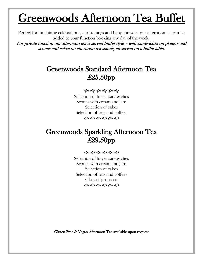# Greenwoods Afternoon Tea Buffet

Perfect for lunchtime celebrations, christenings and baby showers, our afternoon tea can be added to your function booking any day of the week.

For private function our afternoon tea is served buffet style – with sandwiches on platters and scones and cakes on afternoon tea stands, all served on a buffet table.

## Greenwoods Standard Afternoon Tea £25.50pp

#### مه هو به هو به هو

Selection of finger sandwiches Scones with cream and jam Selection of cakes Selection of teas and coffees به دونه دونه دو

## Greenwoods Sparkling Afternoon Tea £29.50pp

#### به دونه دونه دو

Selection of finger sandwiches Scones with cream and jam Selection of cakes Selection of teas and coffees Glass of prosecco بصوبصوبصو

Gluten Free & Vegan Afternoon Tea available upon request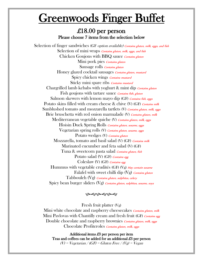# Greenwoods Finger Buffet

### £18.00 per person Please choose 7 items from the selection below

Selection of finger sandwiches (GF *option available) Contains gluten, milk, eggs, and fish* Selection of mini wraps *Contains gluten, milk, eggs, and fish* Chicken Goujons with BBQ sauce Contains gluten Mini pork pies *Contains gluten* Sausage rolls Contains gluten Honey glazed cocktail sausages *Contains gluten, mustard* Spicy chicken wings *Contains mustard* Sticky mini spare ribs *Contains mustard* Chargrilled lamb kebabs with yoghurt & mint dip *Contains gluten* Fish goujons with tartare sauce *Contains fish, gluten* Salmon skewers with lemon mayo dip (GF) Contains fish, eggs Potato skins filled with cream cheese & chive (V) (GF) Contains milk Sunblushed tomato and mozzarella tartlets (V) Contains gluten, milk, eggs Brie bruschetta with red onion marmalade (V) Contains gluten, milk Mediterranean vegetable quiche (V) Contains gluten, milk, eggs Hoisin Duck Spring Rolls Contains gluten, sesame, eggs Vegetarian spring rolls (V) Contains gluten, sesame, eggs Potato wedges (V) Contains gluten Mozzarella, tomato and basil salad (V) (GF) Contains milk Marinated cucumber and feta salad (V) (GF) Tuna & sweetcorn pasta salad *Contains gluten, fish* Potato salad (V) (GF) Contains egg Coleslaw (V) (GF) Contains egg Hummus with vegetable crudités (GF) (Vg) May contain sesame Falafel with sweet chilli dip  $(Vg)$  Contains gluten Tabbouleh (Vg) Contains gluten, sulphites, celery Spicy bean burger sliders (Vg) *Contains gluten, sulphites, sesame, soya* 

بصوبصوبصو

Fresh fruit platter (Vg)

Mini white chocolate and raspberry cheesecakes *Contains gluten, milk* Mini Pavlovas with Chantilly cream and fresh fruit (GF) Contains egg Double chocolate and raspberry brownies *Contains gluten, milk, eggs* Chocolate Profiteroles Contains gluten, milk, eggs

Additional items £3 per person per item Teas and coffees can be added for an additional £3 per person  $(V)$  = Vegetarian / (GF) = Gluten Free / (Vg) = Vegan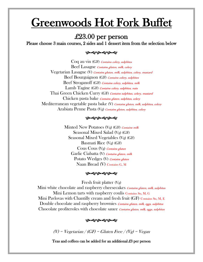# Greenwoods Hot Fork Buffet

### £23.00 per person

Please choose 3 main courses, 2 sides and 1 dessert item from the selection below

#### به های های ها

Coq au vin (GF) Contains celery, sulphites Beef Lasagne Contains gluten, milk, celery Vegetarian Lasagne (V) Contains gluten, milk, sulphites, celery, mustard Beef Bourguignon (GF) Contains celery, sulphites Beef Stroganoff (GF) Contains celery, sulphites, milk Lamb Tagine (GF) Contains celery, sulphites, nuts Thai Green Chicken Curry (GF) Contains sulphites, celery, mustard Chicken pasta bake *Contains gluten, sulphites, celery* Mediterranean vegetable pasta bake (V) Contains gluten, milk, sulphites, celery Arabiata Penne Pasta (Vg) Contains gluten, sulphites, celery

#### بصوبصوبصوب

Minted New Potatoes (Vg) (GF) Contains milk Seasonal Mixed Salad (Vg) (GF) Seasonal Mixed Vegetables (Vg) (GF) Basmati Rice (Vg) (GF) Cous Cous (Vg) Contains gluten Garlic Ciabatta (V) Contains gluten, milk Potato Wedges (V) Contains gluten Naan Bread (V) Contains G, M

#### ড়৽ৼ৽ড়৽ৼ৽

Fresh fruit platter (Vg)

Mini white chocolate and raspberry cheesecakes *Contains gluten, milk, sulphites* Mini Lemon tarts with raspberry coulis Contains Su, M, G Mini Pavlovas with Chantilly cream and fresh fruit (GF) Contains Su, M, E Double chocolate and raspberry brownies *Contains gluten, milk, eggs, sulphites* Chocolate profiteroles with chocolate sauce *Contains gluten, milk, eggs, sulphites* 

#### بهموبهموبهموا

(V) = Vegetarian / (GF) = Gluten Free / (Vg) = Vegan

Teas and coffees can be added for an additional £3 per person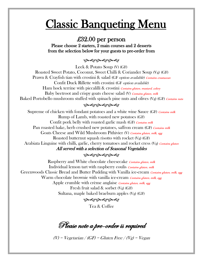# **Classic Banqueting Menu**

### £32.00 per person

Please choose 2 starters, 2 main courses and 2 desserts from the selection below for your guests to pre-order from

بهموبهموبهمو

Leek & Potato Soup (V) (GF) Roasted Sweet Potato, Coconut, Sweet Chilli & Coriander Soup (Vg) (GF) Prawn & Crayfish tian with crostini & salad (GF option available) Contains crustacean Confit Duck Rillette with crostini (GF *option available*) Ham hock terrine with piccalilli  $\&$  crostini *Contains gluten, mustard, celery* Baby beetroot and crispy goats cheese salad (V) Contains gluten, milk Baked Portobello mushroom stuffed with spinach pine nuts and olives  $(Vg)$  (GF) Contains nuts

#### بصوبصوبصوب

Supreme of chicken with fondant potatoes and a white wine Sauce (GF) *Contains milk* Rump of Lamb, with roasted new potatoes (GF) Confit pork belly with roasted garlic mash (GF) Contains milk Pan roasted hake, herb crushed new potatoes, saffron cream (GF) Contains milk Goats Cheese and Wild Mushroom Pithivier (V) Contains gluten, milk, egg Roasted butternut squash risotto with rocket  $(Vg)$  (GF) Arabiata Linguine with chilli, garlic, cherry tomatoes and rocket cress  $(Vg)$  Contains gluten All served with a selection of Seasonal Vegetables

### بهموبهموبهموا

Raspberry and White chocolate cheesecake Contains gluten, milk Individual lemon tart with raspberry coulis *Contains gluten, milk* Greenwoods Classic Bread and Butter Pudding with Vanilla ice-cream Contains gluten, milk, egg Warm chocolate brownie with vanilla ice-cream *Contains gluten, milk, egg* Apple crumble with crème anglaise *Contains gluten, milk, egg* Fresh fruit salad & sorbet (Vg) (GF) Sultana, maple baked braeburn apples (Vg) (GF)

بهموبهموبهمو

Tea & Coffee

Please note a pre-order is required

 $(V)$  = Vegetarian / (GF) = Gluten Free / (Vg) = Vegan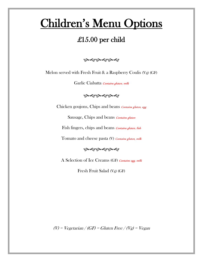# Children's Menu Options

## £15.00 per child

به دونه دونه دو

Melon served with Fresh Fruit & a Raspberry Coulis (Vg) (GF)

Garlic Ciabatta Contains gluten, milk

#### به دونه دونه دو

Chicken goujons, Chips and beans *Contains gluten, egg* 

Sausage, Chips and beans Contains gluten

Fish fingers, chips and beans *Contains gluten, fish* 

Tomato and cheese pasta (V) Contains gluten, milk

به دونه دونه دو

A Selection of Ice Creams (GF) Contains egg, milk

Fresh Fruit Salad (Vg) (GF)

(V) = Vegetarian / (GF) = Gluten Free / (Vg) = Vegan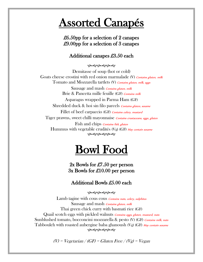## Assorted Canapés

### £6.50pp for a selection of 2 canapes £9.00pp for a selection of 3 canapes

### Additional canapes £3.50 each

ڛۄۑڝۄۑڝۅ

Demitasse of soup (hot or cold) Goats cheese crostini with red onion marmalade (V) Contains gluten, milk Tomato and Mozzarella tartlets (V) Contains gluten, milk, eggs

Sausage and mash *Contains gluten, milk* Brie & Pancetta mille feuille (GF) Contains milk Asparagus wrapped in Parma Ham (GF) Shredded duck & hoi sin filo parcels *Contains gluten, sesame* Fillet of beef carpaccio (GF) Contains celery, mustard Tiger prawns, sweet chilli mayonnaise *Contains crustaceans, eggs, gluten* Fish and chips *Contains fish*, gluten Hummus with vegetable crudités (Vg) (GF) May contain sesame به دوبه دوبه دو

# Bowl Food

2x Bowls for £7.50 per person 3x Bowls for £10.00 per person

### Additional Bowls £5.00 each

به دو به دو به دو

Lamb tagine with cous cous *Contains nuts, celery, sulphites* Sausage and mash *Contains gluten, milk* Thai green chick curry with basmati rice (GF) Quail scotch eggs with pickled walnuts *Contains eggs, gluten, mustard, nuts* Sunblushed tomato, bocconcini mozzarella & pesto (V) (GF) Contains milk, nuts Tabbouleh with roasted aubergine baba ghanoush (Vg) (GF) May contain sesame ڛۄۑڝۄۑڝ

 $(V)$  = Vegetarian / (GF) = Gluten Free / (Vg) = Vegan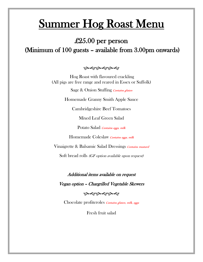# Summer Hog Roast Menu

## £25.00 per person (Minimum of 100 guests – available from 3.00pm onwards)

#### بهموبهموبهمو

Hog Roast with flavoured crackling (All pigs are free range and reared in Essex or Suffolk)

Sage & Onion Stuffing Contains gluten

Homemade Granny Smith Apple Sauce

Cambridgeshire Beef Tomatoes

Mixed Leaf Green Salad

Potato Salad Contains eggs, milk

Homemade Coleslaw Contains eggs, milk

Vinaigrette & Balsamic Salad Dressings *Contains mustard* 

Soft bread rolls *(GF option available upon request)* 

Additional items available on request

Vegan option – Chargrilled Vegetable Skewers

#### بصوبصوبصوب

Chocolate profiteroles *Contains gluten, milk, eggs* 

Fresh fruit salad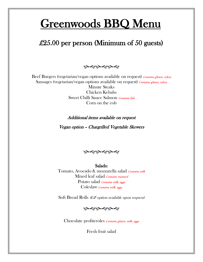# Greenwoods BBQ Menu

## £25.00 per person (Minimum of 50 guests)

بهموبهموبهمو

Beef Burgers (vegetarian/vegan options available on request) Contains gluten, celery Sausages (vegetarian/vegan options available on request) Contains gluten, celery Minute Steaks Chicken Kebabs Sweet Chilli Sauce Salmon Contains fish Corn on the cob

#### Additional items available on request

Vegan option – Chargrilled Vegetable Skewers

#### بهموبهموبهمو

Salads: Tomato, Avocado & mozzarella salad Contains milk Mixed leaf salad Contains mustard Potato salad *Contains milk, eggs* Coleslaw Contains milk, eggs

Soft Bread Rolls (GF option available upon request)

به دونه دونه دو

Chocolate profiteroles Contains gluten, milk, eggs

Fresh fruit salad